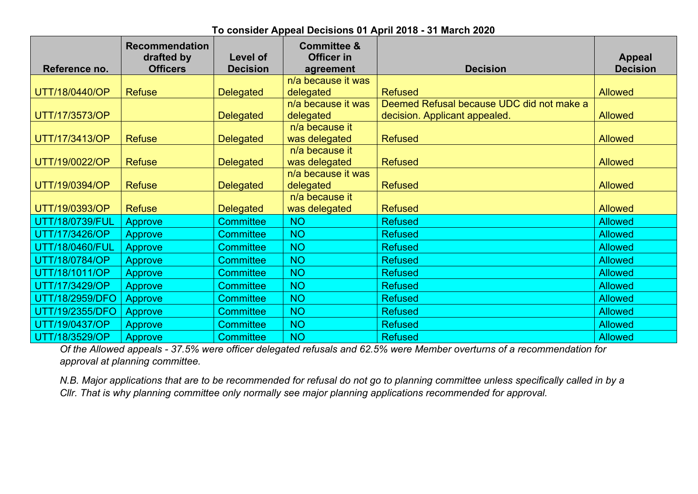| Reference no.          | <b>Recommendation</b><br>drafted by<br><b>Officers</b> | <b>Level of</b><br><b>Decision</b> | <b>Committee &amp;</b><br>Officer in<br>agreement | <b>Decision</b>                           | <b>Appeal</b><br><b>Decision</b> |
|------------------------|--------------------------------------------------------|------------------------------------|---------------------------------------------------|-------------------------------------------|----------------------------------|
|                        |                                                        |                                    | n/a because it was                                |                                           |                                  |
| UTT/18/0440/OP         | <b>Refuse</b>                                          | <b>Delegated</b>                   | delegated                                         | <b>Refused</b>                            | <b>Allowed</b>                   |
|                        |                                                        |                                    | n/a because it was                                | Deemed Refusal because UDC did not make a |                                  |
| UTT/17/3573/OP         |                                                        | <b>Delegated</b>                   | delegated                                         | decision. Applicant appealed.             | <b>Allowed</b>                   |
|                        |                                                        |                                    | n/a because it                                    |                                           |                                  |
| UTT/17/3413/OP         | <b>Refuse</b>                                          | <b>Delegated</b>                   | was delegated                                     | <b>Refused</b>                            | <b>Allowed</b>                   |
|                        |                                                        |                                    | n/a because it                                    |                                           |                                  |
| UTT/19/0022/OP         | <b>Refuse</b>                                          | <b>Delegated</b>                   | was delegated                                     | <b>Refused</b>                            | <b>Allowed</b>                   |
|                        |                                                        |                                    | n/a because it was                                |                                           |                                  |
| UTT/19/0394/OP         | <b>Refuse</b>                                          | <b>Delegated</b>                   | delegated                                         | <b>Refused</b>                            | <b>Allowed</b>                   |
|                        |                                                        |                                    | n/a because it                                    |                                           |                                  |
| UTT/19/0393/OP         | <b>Refuse</b>                                          | <b>Delegated</b>                   | was delegated                                     | <b>Refused</b>                            | <b>Allowed</b>                   |
| UTT/18/0739/FUL        | <b>Approve</b>                                         | <b>Committee</b>                   | <b>NO</b>                                         | <b>Refused</b>                            | <b>Allowed</b>                   |
| UTT/17/3426/OP         | <b>Approve</b>                                         | <b>Committee</b>                   | <b>NO</b>                                         | <b>Refused</b>                            | <b>Allowed</b>                   |
| UTT/18/0460/FUL        | <b>Approve</b>                                         | <b>Committee</b>                   | <b>NO</b>                                         | <b>Refused</b>                            | <b>Allowed</b>                   |
| UTT/18/0784/OP         | <b>Approve</b>                                         | <b>Committee</b>                   | <b>NO</b>                                         | <b>Refused</b>                            | <b>Allowed</b>                   |
| UTT/18/1011/OP         | <b>Approve</b>                                         | <b>Committee</b>                   | <b>NO</b>                                         | <b>Refused</b>                            | <b>Allowed</b>                   |
| UTT/17/3429/OP         | <b>Approve</b>                                         | <b>Committee</b>                   | <b>NO</b>                                         | <b>Refused</b>                            | <b>Allowed</b>                   |
| <b>UTT/18/2959/DFO</b> | <b>Approve</b>                                         | <b>Committee</b>                   | <b>NO</b>                                         | <b>Refused</b>                            | <b>Allowed</b>                   |
| UTT/19/2355/DFO        | <b>Approve</b>                                         | <b>Committee</b>                   | <b>NO</b>                                         | <b>Refused</b>                            | <b>Allowed</b>                   |
| UTT/19/0437/OP         | <b>Approve</b>                                         | <b>Committee</b>                   | <b>NO</b>                                         | <b>Refused</b>                            | <b>Allowed</b>                   |
| UTT/18/3529/OP         | <b>Approve</b>                                         | <b>Committee</b>                   | <b>NO</b>                                         | <b>Refused</b>                            | <b>Allowed</b>                   |

Of the Allowed appeals - 37.5% were officer delegated refusals and 62.5% were Member overturns of a recommendation for *approval at planning committee.*

N.B. Major applications that are to be recommended for refusal do not go to planning committee unless specifically called in by a *Cllr. That is why planning committee only normally see major planning applications recommended for approval.*